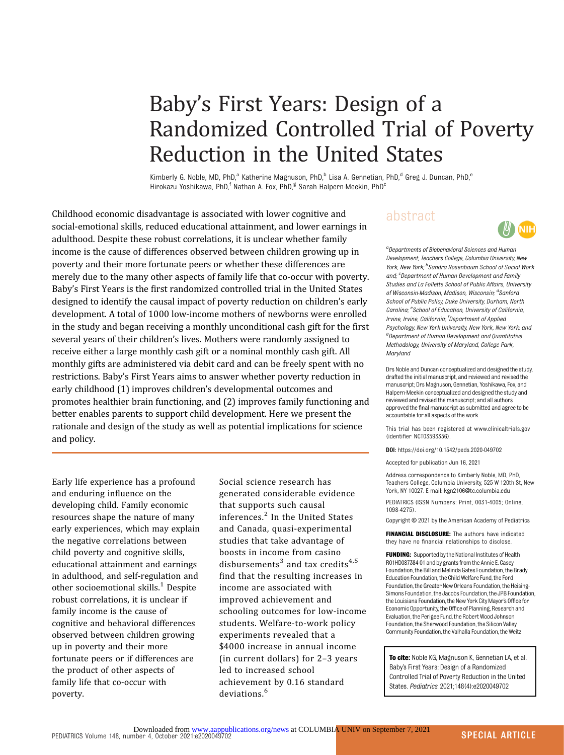# Baby's First Years: Design of a Randomized Controlled Trial of Poverty Reduction in the United States

Kimberly G. Noble, MD, PhD,<sup>a</sup> Katherine Magnuson, PhD,<sup>b</sup> Lisa A. Gennetian, PhD,<sup>d</sup> Greg J. Duncan, PhD,<sup>e</sup> Hirokazu Yoshikawa, PhD,<sup>f</sup> Nathan A. Fox, PhD,<sup>g</sup> Sarah Halpern-Meekin, PhD<sup>c</sup>

Childhood economic disadvantage is associated with lower cognitive and social-emotional skills, reduced educational attainment, and lower earnings in adulthood. Despite these robust correlations, it is unclear whether family income is the cause of differences observed between children growing up in poverty and their more fortunate peers or whether these differences are merely due to the many other aspects of family life that co-occur with poverty. Baby's First Years is the first randomized controlled trial in the United States designed to identify the causal impact of poverty reduction on children's early development. A total of 1000 low-income mothers of newborns were enrolled in the study and began receiving a monthly unconditional cash gift for the first several years of their children's lives. Mothers were randomly assigned to receive either a large monthly cash gift or a nominal monthly cash gift. All monthly gifts are administered via debit card and can be freely spent with no restrictions. Baby's First Years aims to answer whether poverty reduction in early childhood (1) improves children's developmental outcomes and promotes healthier brain functioning, and (2) improves family functioning and better enables parents to support child development. Here we present the rationale and design of the study as well as potential implications for science and policy.

Early life experience has a profound and enduring influence on the developing child. Family economic resources shape the nature of many early experiences, which may explain the negative correlations between child poverty and cognitive skills, educational attainment and earnings in adulthood, and self-regulation and other socioemotional skills. $<sup>1</sup>$  $<sup>1</sup>$  $<sup>1</sup>$  Despite</sup> robust correlations, it is unclear if family income is the cause of cognitive and behavioral differences observed between children growing up in poverty and their more fortunate peers or if differences are the product of other aspects of family life that co-occur with poverty.

Social science research has generated considerable evidence that supports such causal inferences.<sup>[2](#page-7-0)</sup> In the United States and Canada, quasi-experimental studies that take advantage of boosts in income from casino disbursements<sup>[3](#page-7-0)</sup> and tax credits<sup>[4,5](#page-7-0)</sup> find that the resulting increases in income are associated with improved achievement and schooling outcomes for low-income students. Welfare-to-work policy experiments revealed that a \$4000 increase in annual income (in current dollars) for 2–3 years led to increased school achievement by 0.16 standard deviations.<sup>[6](#page-7-0)</sup>

# abstract



<sup>a</sup> Departments of Biobehavioral Sciences and Humar Development, Teachers College, Columbia University, New York, New York; <sup>b</sup>Sandra Rosenbaum School of Social Worl and; <sup>c</sup>Department of Human Development and Family Studies and La Follette School of Public Affairs, University of Wisconsin-Madison, Madison, Wisconsin; <sup>d</sup>Sanford School of Public Policy, Duke University, Durham, North Carolina; <sup>e</sup>School of Education, University of California Irvine, Irvine, California; <sup>f</sup>Department of Applied Psychology, New York University, New York, New York; and <sup>g</sup> Department of Human Development and Quantitative Methodology, University of Maryland, College Park, Maryland

Drs Noble and Duncan conceptualized and designed the study, drafted the initial manuscript, and reviewed and revised the manuscript; Drs Magnuson, Gennetian, Yoshikawa, Fox, and Halpern-Meekin conceptualized and designed the study and reviewed and revised the manuscript; and all authors approved the final manuscript as submitted and agree to be accountable for all aspects of the work.

This trial has been registered at [www.clinicaltrials.gov](http://www.clinicaltrials.gov) (identifier NCT03593356).

DOI: <https://doi.org/10.1542/peds.2020-049702>

Accepted for publication Jun 16, 2021

Address correspondence to Kimberly Noble, MD, PhD, Teachers College, Columbia University, 525 W 120th St, New York, NY 10027. E-mail: [kgn2106@tc.columbia.edu](mailto:kgn2106@tc.columbia.edu)

PEDIATRICS (ISSN Numbers: Print, 0031-4005; Online, 1098-4275).

Copyright © 2021 by the American Academy of Pediatrics

**FINANCIAL DISCLOSURE:** The authors have indicated they have no financial relationships to disclose.

FIINDING: Supported by the National Institutes of Health R01HD087384-01 and by grants from the Annie E. Casey Foundation, the Bill and Melinda Gates Foundation, the Brady Education Foundation, the Child Welfare Fund, the Ford Foundation, the Greater New Orleans Foundation, the Heising-Simons Foundation, the Jacobs Foundation, the JPB Foundation, the Louisiana Foundation, the New York City Mayor's Office for Economic Opportunity, the Office of Planning, Research and Evaluation, the Perigee Fund, the Robert Wood Johnson Foundation, the Sherwood Foundation, the Silicon Valley Community Foundation, the Valhalla Foundation, the Weitz

To cite: Noble KG, Magnuson K, Gennetian LA, et al. Baby's First Years: Design of a Randomized Controlled Trial of Poverty Reduction in the United States. Pediatrics. 2021;148(4):e2020049702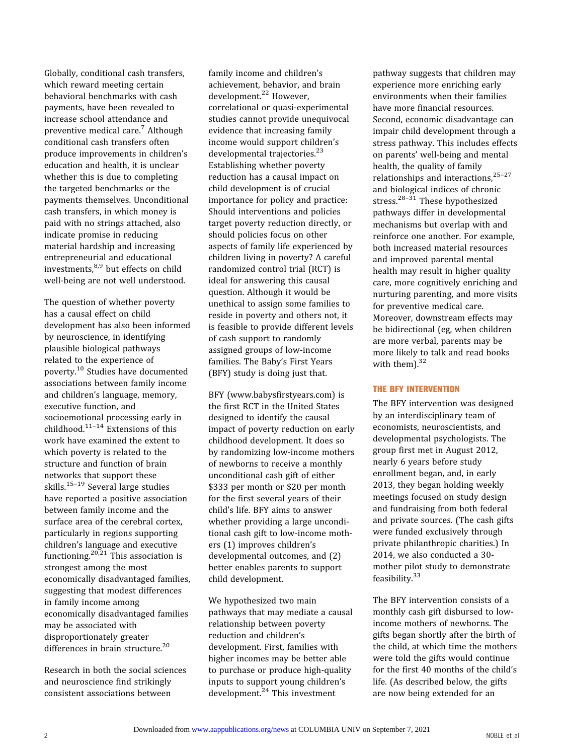Globally, conditional cash transfers, which reward meeting certain behavioral benchmarks with cash payments, have been revealed to increase school attendance and preventive medical care.[7](#page-7-0) Although conditional cash transfers often produce improvements in children's education and health, it is unclear whether this is due to completing the targeted benchmarks or the payments themselves. Unconditional cash transfers, in which money is paid with no strings attached, also indicate promise in reducing material hardship and increasing entrepreneurial and educational investments,<sup>[8](#page-7-0),[9](#page-7-0)</sup> but effects on child well-being are not well understood.

The question of whether poverty has a causal effect on child development has also been informed by neuroscience, in identifying plausible biological pathways related to the experience of poverty.[10](#page-7-0) Studies have documented associations between family income and children's language, memory, executive function, and socioemotional processing early in childhood.<sup>[11](#page-7-0)-[14](#page-7-0)</sup> Extensions of this work have examined the extent to which poverty is related to the structure and function of brain networks that support these skills.[15](#page-7-0)[–](#page-7-0)[19](#page-7-0) Several large studies have reported a positive association between family income and the surface area of the cerebral cortex, particularly in regions supporting children's language and executive functioning.<sup>[20,21](#page-7-0)</sup> This association is strongest among the most economically disadvantaged families, suggesting that modest differences in family income among economically disadvantaged families may be associated with disproportionately greater differences in brain structure.<sup>[20](#page-7-0)</sup>

Research in both the social sciences and neuroscience find strikingly consistent associations between

family income and children's achievement, behavior, and brain development.<sup>[22](#page-7-0)</sup> However, correlational or quasi-experimental studies cannot provide unequivocal evidence that increasing family income would support children's developmental trajectories.<sup>[23](#page-7-0)</sup> Establishing whether poverty reduction has a causal impact on child development is of crucial importance for policy and practice: Should interventions and policies target poverty reduction directly, or should policies focus on other aspects of family life experienced by children living in poverty? A careful randomized control trial (RCT) is ideal for answering this causal question. Although it would be unethical to assign some families to reside in poverty and others not, it is feasible to provide different levels of cash support to randomly assigned groups of low-income families. The Baby's First Years (BFY) study is doing just that.

BFY [\(www.babysfirstyears.com\)](http://www.babysfirstyears.com) is the first RCT in the United States designed to identify the causal impact of poverty reduction on early childhood development. It does so by randomizing low-income mothers of newborns to receive a monthly unconditional cash gift of either \$333 per month or \$20 per month for the first several years of their child's life. BFY aims to answer whether providing a large unconditional cash gift to low-income mothers (1) improves children's developmental outcomes, and (2) better enables parents to support child development.

We hypothesized two main pathways that may mediate a causal relationship between poverty reduction and children's development. First, families with higher incomes may be better able to purchase or produce high-quality inputs to support young children's development.<sup>[24](#page-7-0)</sup> This investment

pathway suggests that children may experience more enriching early environments when their families have more financial resources. Second, economic disadvantage can impair child development through a stress pathway. This includes effects on parents' well-being and mental health, the quality of family relationships and interactions,<sup>[25](#page-7-0)-[27](#page-7-0)</sup> and biological indices of chronic stress. $28-31$  $28-31$  $28-31$  These hypothesized pathways differ in developmental mechanisms but overlap with and reinforce one another. For example, both increased material resources and improved parental mental health may result in higher quality care, more cognitively enriching and nurturing parenting, and more visits for preventive medical care. Moreover, downstream effects may be bidirectional (eg, when children are more verbal, parents may be more likely to talk and read books with them).<sup>[32](#page-7-0)</sup>

#### THE BFY INTERVENTION

The BFY intervention was designed by an interdisciplinary team of economists, neuroscientists, and developmental psychologists. The group first met in August 2012, nearly 6 years before study enrollment began, and, in early 2013, they began holding weekly meetings focused on study design and fundraising from both federal and private sources. (The cash gifts were funded exclusively through private philanthropic charities.) In 2014, we also conducted a 30 mother pilot study to demonstrate feasibility.<sup>[33](#page-7-0)</sup>

The BFY intervention consists of a monthly cash gift disbursed to lowincome mothers of newborns. The gifts began shortly after the birth of the child, at which time the mothers were told the gifts would continue for the first 40 months of the child's life. (As described below, the gifts are now being extended for an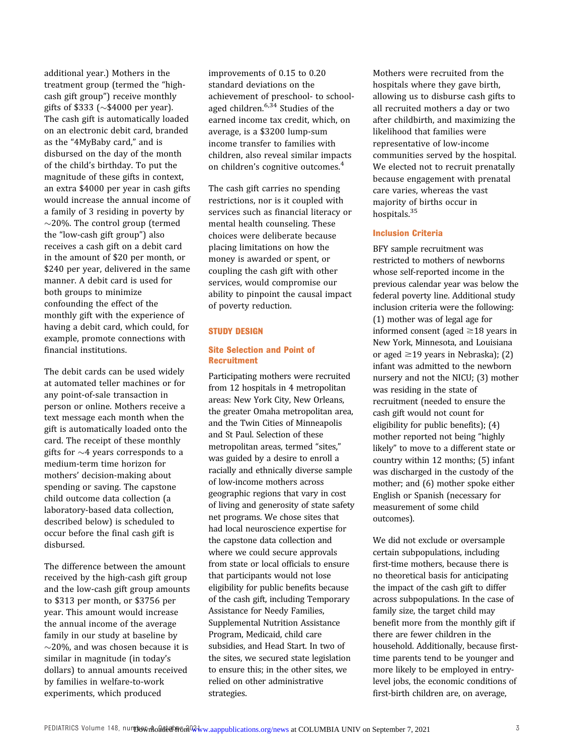additional year.) Mothers in the treatment group (termed the "highcash gift group") receive monthly gifts of \$333 ( $\sim$ \$4000 per year). The cash gift is automatically loaded on an electronic debit card, branded as the "4MyBaby card," and is disbursed on the day of the month of the child's birthday. To put the magnitude of these gifts in context, an extra \$4000 per year in cash gifts would increase the annual income of a family of 3 residing in poverty by  $\sim$ 20%. The control group (termed the "low-cash gift group") also receives a cash gift on a debit card in the amount of \$20 per month, or \$240 per year, delivered in the same manner. A debit card is used for both groups to minimize confounding the effect of the monthly gift with the experience of having a debit card, which could, for example, promote connections with financial institutions.

The debit cards can be used widely at automated teller machines or for any point-of-sale transaction in person or online. Mothers receive a text message each month when the gift is automatically loaded onto the card. The receipt of these monthly gifts for  $\sim$ 4 years corresponds to a medium-term time horizon for mothers' decision-making about spending or saving. The capstone child outcome data collection (a laboratory-based data collection, described below) is scheduled to occur before the final cash gift is disbursed.

The difference between the amount received by the high-cash gift group and the low-cash gift group amounts to \$313 per month, or \$3756 per year. This amount would increase the annual income of the average family in our study at baseline by  $\sim$ 20%, and was chosen because it is similar in magnitude (in today's dollars) to annual amounts received by families in welfare-to-work experiments, which produced

improvements of 0.15 to 0.20 standard deviations on the achievement of preschool- to school-aged children.<sup>[6,34](#page-7-0)</sup> Studies of the earned income tax credit, which, on average, is a \$3200 lump-sum income transfer to families with children, also reveal similar impacts on children's cognitive outcomes.<sup>[4](#page-7-0)</sup>

The cash gift carries no spending restrictions, nor is it coupled with services such as financial literacy or mental health counseling. These choices were deliberate because placing limitations on how the money is awarded or spent, or coupling the cash gift with other services, would compromise our ability to pinpoint the causal impact of poverty reduction.

#### STUDY DESIGN

#### Site Selection and Point of Recruitment

Participating mothers were recruited from 12 hospitals in 4 metropolitan areas: New York City, New Orleans, the greater Omaha metropolitan area, and the Twin Cities of Minneapolis and St Paul. Selection of these metropolitan areas, termed "sites," was guided by a desire to enroll a racially and ethnically diverse sample of low-income mothers across geographic regions that vary in cost of living and generosity of state safety net programs. We chose sites that had local neuroscience expertise for the capstone data collection and where we could secure approvals from state or local officials to ensure that participants would not lose eligibility for public benefits because of the cash gift, including Temporary Assistance for Needy Families, Supplemental Nutrition Assistance Program, Medicaid, child care subsidies, and Head Start. In two of the sites, we secured state legislation to ensure this; in the other sites, we relied on other administrative strategies.

Mothers were recruited from the hospitals where they gave birth, allowing us to disburse cash gifts to all recruited mothers a day or two after childbirth, and maximizing the likelihood that families were representative of low-income communities served by the hospital. We elected not to recruit prenatally because engagement with prenatal care varies, whereas the vast majority of births occur in hospitals.[35](#page-7-0)

#### Inclusion Criteria

BFY sample recruitment was restricted to mothers of newborns whose self-reported income in the previous calendar year was below the federal poverty line. Additional study inclusion criteria were the following: (1) mother was of legal age for informed consent (aged  $\geq$ 18 years in New York, Minnesota, and Louisiana or aged  $\geq$ 19 years in Nebraska); (2) infant was admitted to the newborn nursery and not the NICU; (3) mother was residing in the state of recruitment (needed to ensure the cash gift would not count for eligibility for public benefits); (4) mother reported not being "highly likely" to move to a different state or country within 12 months; (5) infant was discharged in the custody of the mother; and (6) mother spoke either English or Spanish (necessary for measurement of some child outcomes).

We did not exclude or oversample certain subpopulations, including first-time mothers, because there is no theoretical basis for anticipating the impact of the cash gift to differ across subpopulations. In the case of family size, the target child may benefit more from the monthly gift if there are fewer children in the household. Additionally, because firsttime parents tend to be younger and more likely to be employed in entrylevel jobs, the economic conditions of first-birth children are, on average,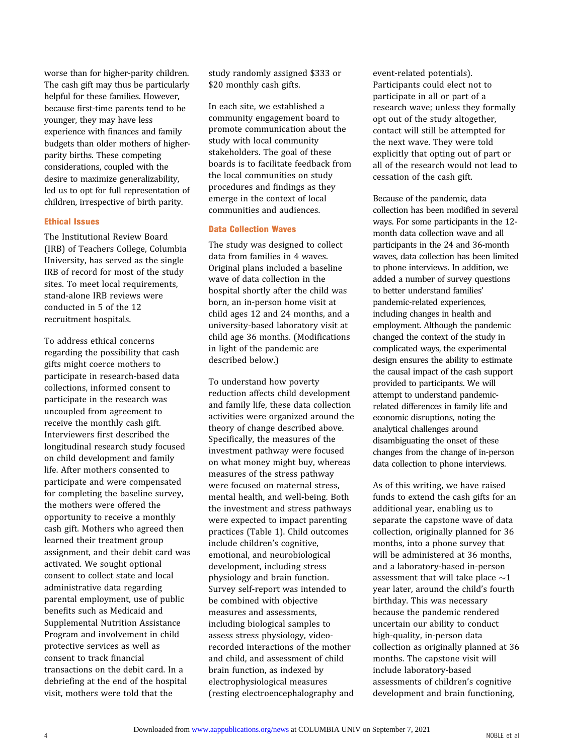worse than for higher-parity children. The cash gift may thus be particularly helpful for these families. However, because first-time parents tend to be younger, they may have less experience with finances and family budgets than older mothers of higherparity births. These competing considerations, coupled with the desire to maximize generalizability, led us to opt for full representation of children, irrespective of birth parity.

#### Ethical Issues

The Institutional Review Board (IRB) of Teachers College, Columbia University, has served as the single IRB of record for most of the study sites. To meet local requirements, stand-alone IRB reviews were conducted in 5 of the 12 recruitment hospitals.

To address ethical concerns regarding the possibility that cash gifts might coerce mothers to participate in research-based data collections, informed consent to participate in the research was uncoupled from agreement to receive the monthly cash gift. Interviewers first described the longitudinal research study focused on child development and family life. After mothers consented to participate and were compensated for completing the baseline survey, the mothers were offered the opportunity to receive a monthly cash gift. Mothers who agreed then learned their treatment group assignment, and their debit card was activated. We sought optional consent to collect state and local administrative data regarding parental employment, use of public benefits such as Medicaid and Supplemental Nutrition Assistance Program and involvement in child protective services as well as consent to track financial transactions on the debit card. In a debriefing at the end of the hospital visit, mothers were told that the

study randomly assigned \$333 or \$20 monthly cash gifts.

In each site, we established a community engagement board to promote communication about the study with local community stakeholders. The goal of these boards is to facilitate feedback from the local communities on study procedures and findings as they emerge in the context of local communities and audiences.

#### Data Collection Waves

The study was designed to collect data from families in 4 waves. Original plans included a baseline wave of data collection in the hospital shortly after the child was born, an in-person home visit at child ages 12 and 24 months, and a university-based laboratory visit at child age 36 months. (Modifications in light of the pandemic are described below.)

To understand how poverty reduction affects child development and family life, these data collection activities were organized around the theory of change described above. Specifically, the measures of the investment pathway were focused on what money might buy, whereas measures of the stress pathway were focused on maternal stress, mental health, and well-being. Both the investment and stress pathways were expected to impact parenting practices [\(Table 1](#page-4-0)). Child outcomes include children's cognitive, emotional, and neurobiological development, including stress physiology and brain function. Survey self-report was intended to be combined with objective measures and assessments, including biological samples to assess stress physiology, videorecorded interactions of the mother and child, and assessment of child brain function, as indexed by electrophysiological measures (resting electroencephalography and

event-related potentials). Participants could elect not to participate in all or part of a research wave; unless they formally opt out of the study altogether, contact will still be attempted for the next wave. They were told explicitly that opting out of part or all of the research would not lead to cessation of the cash gift.

Because of the pandemic, data collection has been modified in several ways. For some participants in the 12 month data collection wave and all participants in the 24 and 36-month waves, data collection has been limited to phone interviews. In addition, we added a number of survey questions to better understand families' pandemic-related experiences, including changes in health and employment. Although the pandemic changed the context of the study in complicated ways, the experimental design ensures the ability to estimate the causal impact of the cash support provided to participants. We will attempt to understand pandemicrelated differences in family life and economic disruptions, noting the analytical challenges around disambiguating the onset of these changes from the change of in-person data collection to phone interviews.

As of this writing, we have raised funds to extend the cash gifts for an additional year, enabling us to separate the capstone wave of data collection, originally planned for 36 months, into a phone survey that will be administered at 36 months, and a laboratory-based in-person assessment that will take place  $\sim$ 1 year later, around the child's fourth birthday. This was necessary because the pandemic rendered uncertain our ability to conduct high-quality, in-person data collection as originally planned at 36 months. The capstone visit will include laboratory-based assessments of children's cognitive development and brain functioning,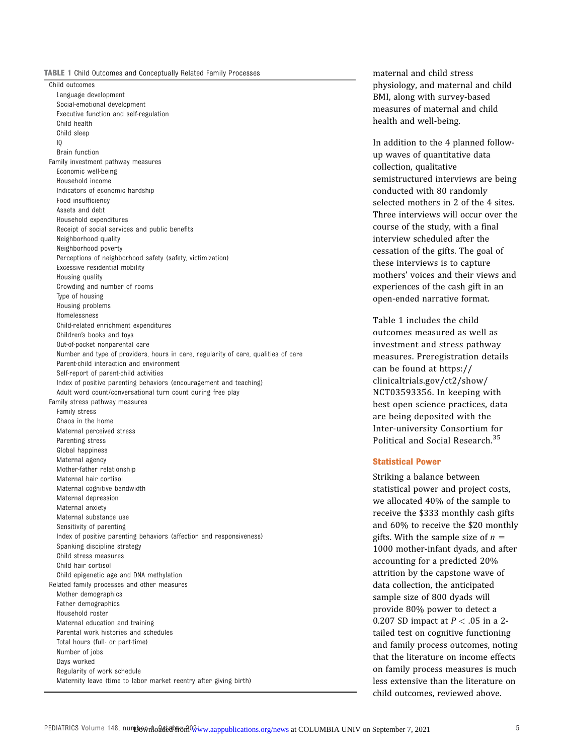<span id="page-4-0"></span>TABLE 1 Child Outcomes and Conceptually Related Family Processes

Child outcomes Language development Social-emotional development Executive function and self-regulation Child health Child sleep IQ Brain function Family investment pathway measures Economic well-being Household income Indicators of economic hardship Food insufficiency Assets and debt Household expenditures Receipt of social services and public benefits Neighborhood quality Neighborhood poverty Perceptions of neighborhood safety (safety, victimization) Excessive residential mobility Housing quality Crowding and number of rooms Type of housing Housing problems Homelessness Child-related enrichment expenditures Children's books and toys Out-of-pocket nonparental care Number and type of providers, hours in care, regularity of care, qualities of care Parent-child interaction and environment Self-report of parent-child activities Index of positive parenting behaviors (encouragement and teaching) Adult word count/conversational turn count during free play Family stress pathway measures Family stress Chaos in the home Maternal perceived stress Parenting stress Global happiness Maternal agency Mother-father relationship Maternal hair cortisol Maternal cognitive bandwidth Maternal depression Maternal anxiety Maternal substance use Sensitivity of parenting Index of positive parenting behaviors (affection and responsiveness) Spanking discipline strategy Child stress measures Child hair cortisol Child epigenetic age and DNA methylation Related family processes and other measures Mother demographics Father demographics Household roster Maternal education and training Parental work histories and schedules Total hours (full- or part-time) Number of jobs Days worked Regularity of work schedule Maternity leave (time to labor market reentry after giving birth)

maternal and child stress physiology, and maternal and child BMI, along with survey-based measures of maternal and child health and well-being.

In addition to the 4 planned followup waves of quantitative data collection, qualitative semistructured interviews are being conducted with 80 randomly selected mothers in 2 of the 4 sites. Three interviews will occur over the course of the study, with a final interview scheduled after the cessation of the gifts. The goal of these interviews is to capture mothers' voices and their views and experiences of the cash gift in an open-ended narrative format.

Table 1 includes the child outcomes measured as well as investment and stress pathway measures. Preregistration details can be found at [https://](https://clinicaltrials.gov/ct2/show/NCT03593356) [clinicaltrials.gov/ct2/show/](https://clinicaltrials.gov/ct2/show/NCT03593356) [NCT03593356](https://clinicaltrials.gov/ct2/show/NCT03593356). In keeping with best open science practices, data are being deposited with the Inter-university Consortium for Political and Social Research.[35](#page-7-0)

#### Statistical Power

Striking a balance between statistical power and project costs, we allocated 40% of the sample to receive the \$333 monthly cash gifts and 60% to receive the \$20 monthly gifts. With the sample size of  $n =$ 1000 mother-infant dyads, and after accounting for a predicted 20% attrition by the capstone wave of data collection, the anticipated sample size of 800 dyads will provide 80% power to detect a 0.207 SD impact at  $P < 0.05$  in a 2tailed test on cognitive functioning and family process outcomes, noting that the literature on income effects on family process measures is much less extensive than the literature on child outcomes, reviewed above.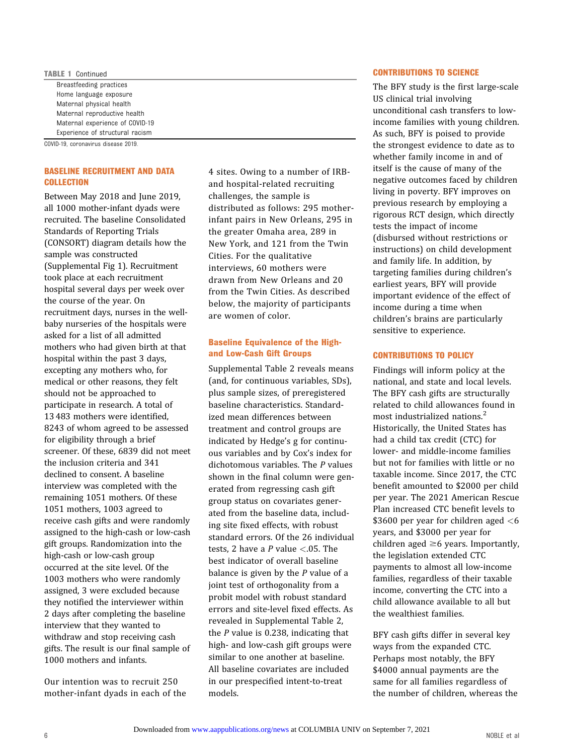#### TABLE 1 Continued Breastfeeding practices Home language exposure Maternal physical health Maternal reproductive health Maternal experience of COVID-19 Experience of structural racism

COVID-19, coronavirus disease 2019.

#### BASELINE RECRUITMENT AND DATA **COLLECTION**

Between May 2018 and June 2019, all 1000 mother-infant dyads were recruited. The baseline Consolidated Standards of Reporting Trials (CONSORT) diagram details how the sample was constructed (Supplemental Fig 1). Recruitment took place at each recruitment hospital several days per week over the course of the year. On recruitment days, nurses in the wellbaby nurseries of the hospitals were asked for a list of all admitted mothers who had given birth at that hospital within the past 3 days, excepting any mothers who, for medical or other reasons, they felt should not be approached to participate in research. A total of 13 483 mothers were identified, 8243 of whom agreed to be assessed for eligibility through a brief screener. Of these, 6839 did not meet the inclusion criteria and 341 declined to consent. A baseline interview was completed with the remaining 1051 mothers. Of these 1051 mothers, 1003 agreed to receive cash gifts and were randomly assigned to the high-cash or low-cash gift groups. Randomization into the high-cash or low-cash group occurred at the site level. Of the 1003 mothers who were randomly assigned, 3 were excluded because they notified the interviewer within 2 days after completing the baseline interview that they wanted to withdraw and stop receiving cash gifts. The result is our final sample of 1000 mothers and infants.

Our intention was to recruit 250 mother-infant dyads in each of the

4 sites. Owing to a number of IRBand hospital-related recruiting challenges, the sample is distributed as follows: 295 motherinfant pairs in New Orleans, 295 in the greater Omaha area, 289 in New York, and 121 from the Twin Cities. For the qualitative interviews, 60 mothers were drawn from New Orleans and 20 from the Twin Cities. As described below, the majority of participants are women of color.

#### Baseline Equivalence of the Highand Low-Cash Gift Groups

[Supplemental Table 2](https://pediatrics.aappublications.org/lookup/suppl/doi:10.1542/peds.2020-049702/-/DCSupplemental/) reveals means (and, for continuous variables, SDs), plus sample sizes, of preregistered baseline characteristics. Standardized mean differences between treatment and control groups are indicated by Hedge's g for continuous variables and by Cox's index for dichotomous variables. The P values shown in the final column were generated from regressing cash gift group status on covariates generated from the baseline data, including site fixed effects, with robust standard errors. Of the 26 individual tests, 2 have a P value  $< 0.05$ . The best indicator of overall baseline balance is given by the  $P$  value of a joint test of orthogonality from a probit model with robust standard errors and site-level fixed effects. As revealed in [Supplemental Table 2](https://pediatrics.aappublications.org/lookup/suppl/doi:10.1542/peds.2020-049702/-/DCSupplemental/), the  $P$  value is 0.238, indicating that high- and low-cash gift groups were similar to one another at baseline. All baseline covariates are included in our prespecified intent-to-treat models.

#### CONTRIBUTIONS TO SCIENCE

The BFY study is the first large-scale US clinical trial involving unconditional cash transfers to lowincome families with young children. As such, BFY is poised to provide the strongest evidence to date as to whether family income in and of itself is the cause of many of the negative outcomes faced by children living in poverty. BFY improves on previous research by employing a rigorous RCT design, which directly tests the impact of income (disbursed without restrictions or instructions) on child development and family life. In addition, by targeting families during children's earliest years, BFY will provide important evidence of the effect of income during a time when children's brains are particularly sensitive to experience.

#### CONTRIBUTIONS TO POLICY

Findings will inform policy at the national, and state and local levels. The BFY cash gifts are structurally related to child allowances found in most industrialized nations.[2](#page-7-0) Historically, the United States has had a child tax credit (CTC) for lower- and middle-income families but not for families with little or no taxable income. Since 2017, the CTC benefit amounted to \$2000 per child per year. The 2021 American Rescue Plan increased CTC benefit levels to \$3600 per year for children aged <6 years, and \$3000 per year for children aged  $\geq 6$  years. Importantly, the legislation extended CTC payments to almost all low-income families, regardless of their taxable income, converting the CTC into a child allowance available to all but the wealthiest families.

BFY cash gifts differ in several key ways from the expanded CTC. Perhaps most notably, the BFY \$4000 annual payments are the same for all families regardless of the number of children, whereas the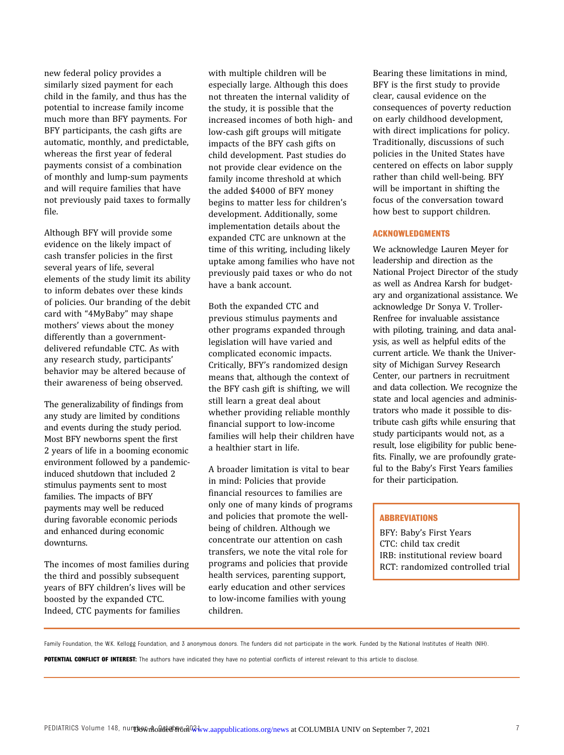new federal policy provides a similarly sized payment for each child in the family, and thus has the potential to increase family income much more than BFY payments. For BFY participants, the cash gifts are automatic, monthly, and predictable, whereas the first year of federal payments consist of a combination of monthly and lump-sum payments and will require families that have not previously paid taxes to formally file.

Although BFY will provide some evidence on the likely impact of cash transfer policies in the first several years of life, several elements of the study limit its ability to inform debates over these kinds of policies. Our branding of the debit card with "4MyBaby" may shape mothers' views about the money differently than a governmentdelivered refundable CTC. As with any research study, participants' behavior may be altered because of their awareness of being observed.

The generalizability of findings from any study are limited by conditions and events during the study period. Most BFY newborns spent the first 2 years of life in a booming economic environment followed by a pandemicinduced shutdown that included 2 stimulus payments sent to most families. The impacts of BFY payments may well be reduced during favorable economic periods and enhanced during economic downturns.

The incomes of most families during the third and possibly subsequent years of BFY children's lives will be boosted by the expanded CTC. Indeed, CTC payments for families

with multiple children will be especially large. Although this does not threaten the internal validity of the study, it is possible that the increased incomes of both high- and low-cash gift groups will mitigate impacts of the BFY cash gifts on child development. Past studies do not provide clear evidence on the family income threshold at which the added \$4000 of BFY money begins to matter less for children's development. Additionally, some implementation details about the expanded CTC are unknown at the time of this writing, including likely uptake among families who have not previously paid taxes or who do not have a bank account.

Both the expanded CTC and previous stimulus payments and other programs expanded through legislation will have varied and complicated economic impacts. Critically, BFY's randomized design means that, although the context of the BFY cash gift is shifting, we will still learn a great deal about whether providing reliable monthly financial support to low-income families will help their children have a healthier start in life.

A broader limitation is vital to bear in mind: Policies that provide financial resources to families are only one of many kinds of programs and policies that promote the wellbeing of children. Although we concentrate our attention on cash transfers, we note the vital role for programs and policies that provide health services, parenting support, early education and other services to low-income families with young children.

Bearing these limitations in mind, BFY is the first study to provide clear, causal evidence on the consequences of poverty reduction on early childhood development, with direct implications for policy. Traditionally, discussions of such policies in the United States have centered on effects on labor supply rather than child well-being. BFY will be important in shifting the focus of the conversation toward how best to support children.

#### ACKNOWLEDGMENTS

We acknowledge Lauren Meyer for leadership and direction as the National Project Director of the study as well as Andrea Karsh for budgetary and organizational assistance. We acknowledge Dr Sonya V. Troller-Renfree for invaluable assistance with piloting, training, and data analysis, as well as helpful edits of the current article. We thank the University of Michigan Survey Research Center, our partners in recruitment and data collection. We recognize the state and local agencies and administrators who made it possible to distribute cash gifts while ensuring that study participants would not, as a result, lose eligibility for public benefits. Finally, we are profoundly grateful to the Baby's First Years families for their participation.

#### **ABBREVIATIONS**

BFY: Baby's First Years CTC: child tax credit IRB: institutional review board RCT: randomized controlled trial

POTENTIAL CONFLICT OF INTEREST: The authors have indicated they have no potential conflicts of interest relevant to this article to disclose.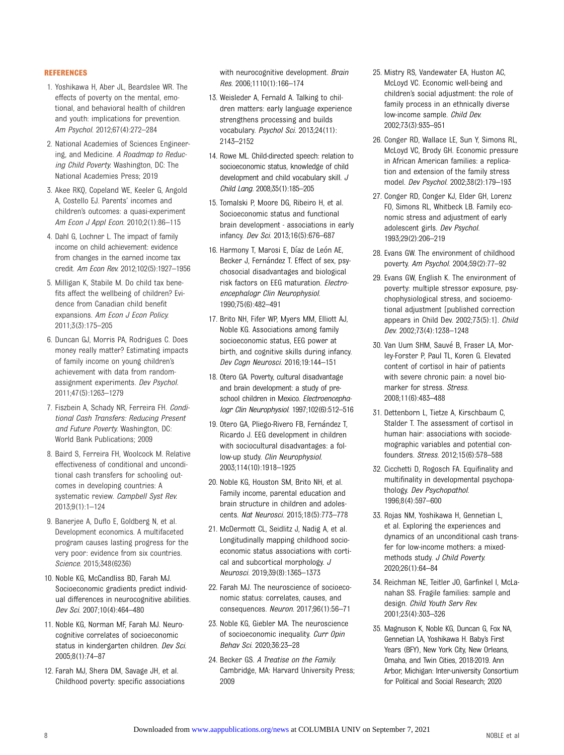#### <span id="page-7-0"></span>REFERENCES

- 1. Yoshikawa H, Aber JL, Beardslee WR. The effects of poverty on the mental, emotional, and behavioral health of children and youth: implications for prevention. Am Psychol. 2012;67(4):272–284
- 2. National Academies of Sciences Engineering, and Medicine. A Roadmap to Reducing Child Poverty. Washington, DC: The National Academies Press; 2019
- 3. Akee RKQ, Copeland WE, Keeler G, Angold A, Costello EJ. Parents' incomes and children's outcomes: a quasi-experiment Am Econ J Appl Econ. 2010;2(1):86–115
- 4. Dahl G, Lochner L. The impact of family income on child achievement: evidence from changes in the earned income tax credit. Am Econ Rev. 2012;102(5):1927–1956
- 5. Milligan K, Stabile M. Do child tax benefits affect the wellbeing of children? Evidence from Canadian child benefit expansions. Am Econ J Econ Policy. 2011;3(3):175–205
- 6. Duncan GJ, Morris PA, Rodrigues C. Does money really matter? Estimating impacts of family income on young children's achievement with data from randomassignment experiments. Dev Psychol. 2011;47(5):1263–1279
- 7. Fiszbein A, Schady NR, Ferreira FH. Conditional Cash Transfers: Reducing Present and Future Poverty. Washington, DC: World Bank Publications; 2009
- 8. Baird S, Ferreira FH, Woolcock M. Relative effectiveness of conditional and unconditional cash transfers for schooling outcomes in developing countries: A systematic review. Campbell Syst Rev. 2013;9(1):1–124
- 9. Banerjee A, Duflo E, Goldberg N, et al. Development economics. A multifaceted program causes lasting progress for the very poor: evidence from six countries. Science. 2015;348(6236)
- 10. Noble KG, McCandliss BD, Farah MJ. Socioeconomic gradients predict individual differences in neurocognitive abilities. Dev Sci. 2007;10(4):464–480
- 11. Noble KG, Norman MF, Farah MJ. Neurocognitive correlates of socioeconomic status in kindergarten children. Dev Sci. 2005;8(1):74–87
- 12. Farah MJ, Shera DM, Savage JH, et al. Childhood poverty: specific associations

with neurocognitive development. Brain Res. 2006;1110(1):166–174

- 13. Weisleder A, Fernald A. Talking to children matters: early language experience strengthens processing and builds vocabulary. Psychol Sci. 2013;24(11): 2143–2152
- 14. Rowe ML. Child-directed speech: relation to socioeconomic status, knowledge of child development and child vocabulary skill. J Child Lang. 2008;35(1):185–205
- 15. Tomalski P, Moore DG, Ribeiro H, et al. Socioeconomic status and functional brain development - associations in early infancy. Dev Sci. 2013;16(5):676–687
- 16. Harmony T, Marosi E, Díaz de León AE, Becker J, Fernández T. Effect of sex, psychosocial disadvantages and biological risk factors on EEG maturation. Electroencephalogr Clin Neurophysiol. 1990;75(6):482–491
- 17. Brito NH, Fifer WP, Myers MM, Elliott AJ, Noble KG. Associations among family socioeconomic status, EEG power at birth, and cognitive skills during infancy. Dev Cogn Neurosci. 2016;19:144–151
- 18. Otero GA. Poverty, cultural disadvantage and brain development: a study of preschool children in Mexico. Electroencephalogr Clin Neurophysiol. 1997;102(6):512–516
- 19. Otero GA, Pliego-Rivero FB, Fernández T, Ricardo J. EEG development in children with sociocultural disadvantages: a follow-up study. Clin Neurophysiol. 2003;114(10):1918–1925
- 20. Noble KG, Houston SM, Brito NH, et al. Family income, parental education and brain structure in children and adolescents. Nat Neurosci. 2015;18(5):773–778
- 21. McDermott CL, Seidlitz J, Nadig A, et al. Longitudinally mapping childhood socioeconomic status associations with cortical and subcortical morphology. J Neurosci. 2019;39(8):1365–1373
- 22. Farah MJ. The neuroscience of socioeconomic status: correlates, causes, and consequences. Neuron. 2017;96(1):56–71
- 23. Noble KG, Giebler MA. The neuroscience of socioeconomic inequality. Curr Opin Behav Sci. 2020;36:23–28
- 24. Becker GS. A Treatise on the Family. Cambridge, MA: Harvard University Press; 2009
- 25. Mistry RS, Vandewater EA, Huston AC, McLoyd VC. Economic well-being and children's social adjustment: the role of family process in an ethnically diverse low-income sample. Child Dev. 2002;73(3):935–951
- 26. Conger RD, Wallace LE, Sun Y, Simons RL, McLoyd VC, Brody GH. Economic pressure in African American families: a replication and extension of the family stress model. Dev Psychol. 2002;38(2):179–193
- 27. Conger RD, Conger KJ, Elder GH, Lorenz FO, Simons RL, Whitbeck LB. Family economic stress and adjustment of early adolescent girls. Dev Psychol. 1993;29(2):206–219
- 28. Evans GW. The environment of childhood poverty. Am Psychol. 2004;59(2):77–92
- 29. Evans GW, English K. The environment of poverty: multiple stressor exposure, psychophysiological stress, and socioemotional adjustment [published correction appears in Child Dev. 2002;73(5):1]. Child Dev. 2002;73(4):1238–1248
- 30. Van Uum SHM, Sauve B, Fraser LA, Morley-Forster P, Paul TL, Koren G. Elevated content of cortisol in hair of patients with severe chronic pain: a novel biomarker for stress. Stress. 2008;11(6):483–488
- 31. Dettenborn L, Tietze A, Kirschbaum C, Stalder T. The assessment of cortisol in human hair: associations with sociodemographic variables and potential confounders. Stress. 2012;15(6):578–588
- 32. Cicchetti D, Rogosch FA. Equifinality and multifinality in developmental psychopathology. Dev Psychopathol. 1996;8(4):597–600
- 33. Rojas NM, Yoshikawa H, Gennetian L, et al. Exploring the experiences and dynamics of an unconditional cash transfer for low-income mothers: a mixedmethods study. J Child Poverty. 2020;26(1):64–84
- 34. Reichman NE, Teitler JO, Garfinkel I, McLanahan SS. Fragile families: sample and design. Child Youth Serv Rev. 2001;23(4):303–326
- 35. Magnuson K, Noble KG, Duncan G, Fox NA, Gennetian LA, Yoshikawa H. Baby's First Years (BFY), New York City, New Orleans, Omaha, and Twin Cities, 2018-2019. Ann Arbor, Michigan: Inter-university Consortium for Political and Social Research; 2020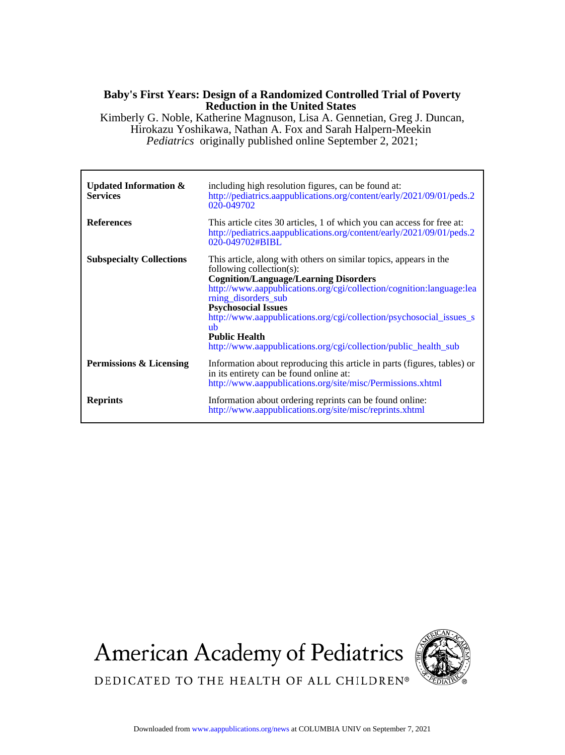## **Reduction in the United States Baby's First Years: Design of a Randomized Controlled Trial of Poverty**

*Pediatrics* originally published online September 2, 2021; Hirokazu Yoshikawa, Nathan A. Fox and Sarah Halpern-Meekin Kimberly G. Noble, Katherine Magnuson, Lisa A. Gennetian, Greg J. Duncan,

| Updated Information $\&$<br><b>Services</b> | including high resolution figures, can be found at:<br>http://pediatrics.aappublications.org/content/early/2021/09/01/peds.2<br>020-049702                                                                                                                                                                                                                                                                                                         |
|---------------------------------------------|----------------------------------------------------------------------------------------------------------------------------------------------------------------------------------------------------------------------------------------------------------------------------------------------------------------------------------------------------------------------------------------------------------------------------------------------------|
| <b>References</b>                           | This article cites 30 articles, 1 of which you can access for free at:<br>http://pediatrics.aappublications.org/content/early/2021/09/01/peds.2<br>020-049702#BIBL                                                                                                                                                                                                                                                                                 |
| <b>Subspecialty Collections</b>             | This article, along with others on similar topics, appears in the<br>following collection(s):<br><b>Cognition/Language/Learning Disorders</b><br>http://www.aappublications.org/cgi/collection/cognition:language:lea<br>rning_disorders_sub<br><b>Psychosocial Issues</b><br>http://www.aappublications.org/cgi/collection/psychosocial_issues_s<br>uh<br><b>Public Health</b><br>http://www.aappublications.org/cgi/collection/public_health_sub |
| Permissions & Licensing                     | Information about reproducing this article in parts (figures, tables) or<br>in its entirety can be found online at:<br>http://www.aappublications.org/site/misc/Permissions.xhtml                                                                                                                                                                                                                                                                  |
| <b>Reprints</b>                             | Information about ordering reprints can be found online:<br>http://www.aappublications.org/site/misc/reprints.xhtml                                                                                                                                                                                                                                                                                                                                |

**American Academy of Pediatrics** 



DEDICATED TO THE HEALTH OF ALL CHILDREN®